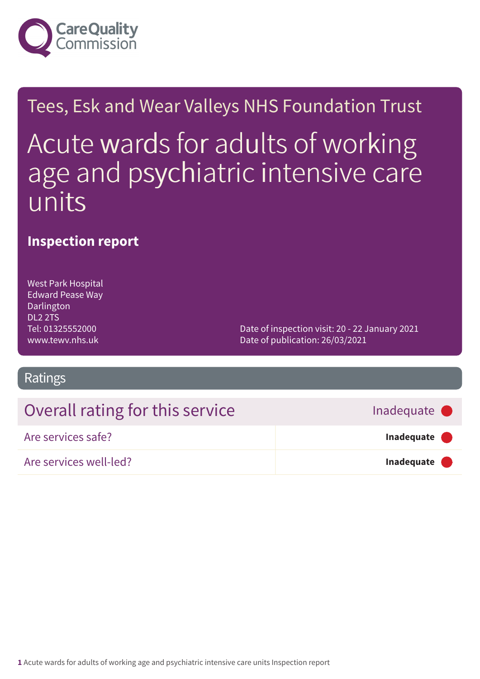

# Tees, Esk and Wear Valleys NHS Foundation Trust Acute wards for adults of working age and psychiatric intensive care units

### **Inspection report**

West Park Hospital Edward Pease Way Darlington DL2 2TS Tel: 01325552000 www.tewv.nhs.uk

Date of inspection visit: 20 - 22 January 2021 Date of publication: 26/03/2021

### Ratings

| Overall rating for this service | Inadequate •        |
|---------------------------------|---------------------|
| Are services safe?              | Inadequate <b>O</b> |
| Are services well-led?          | Inadequate <b>O</b> |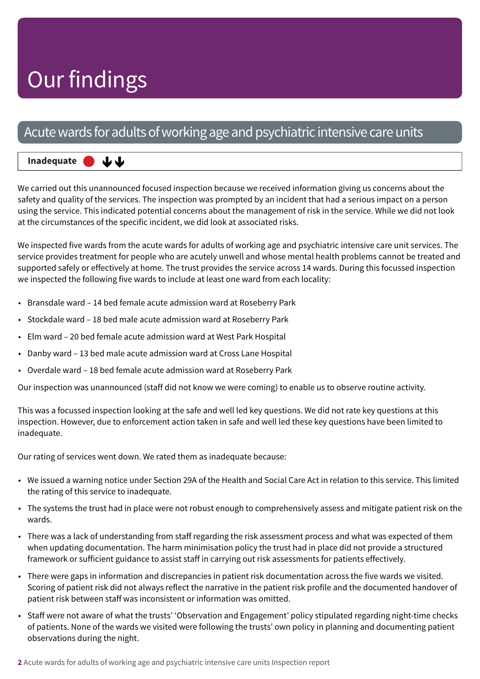### Acute wards for adults of working age and psychiatric intensive care units

#### **Inadequate –––** 山山

We carried out this unannounced focused inspection because we received information giving us concerns about the safety and quality of the services. The inspection was prompted by an incident that had a serious impact on a person using the service. This indicated potential concerns about the management of risk in the service. While we did not look at the circumstances of the specific incident, we did look at associated risks.

We inspected five wards from the acute wards for adults of working age and psychiatric intensive care unit services. The service provides treatment for people who are acutely unwell and whose mental health problems cannot be treated and supported safely or effectively at home. The trust provides the service across 14 wards. During this focussed inspection we inspected the following five wards to include at least one ward from each locality:

- Bransdale ward 14 bed female acute admission ward at Roseberry Park
- Stockdale ward 18 bed male acute admission ward at Roseberry Park
- Elm ward 20 bed female acute admission ward at West Park Hospital
- Danby ward 13 bed male acute admission ward at Cross Lane Hospital
- Overdale ward 18 bed female acute admission ward at Roseberry Park

Our inspection was unannounced (staff did not know we were coming) to enable us to observe routine activity.

This was a focussed inspection looking at the safe and well led key questions. We did not rate key questions at this inspection. However, due to enforcement action taken in safe and well led these key questions have been limited to inadequate.

Our rating of services went down. We rated them as inadequate because:

- We issued a warning notice under Section 29A of the Health and Social Care Act in relation to this service. This limited the rating of this service to inadequate.
- The systems the trust had in place were not robust enough to comprehensively assess and mitigate patient risk on the wards.
- There was a lack of understanding from staff regarding the risk assessment process and what was expected of them when updating documentation. The harm minimisation policy the trust had in place did not provide a structured framework or sufficient guidance to assist staff in carrying out risk assessments for patients effectively.
- There were gaps in information and discrepancies in patient risk documentation across the five wards we visited. Scoring of patient risk did not always reflect the narrative in the patient risk profile and the documented handover of patient risk between staff was inconsistent or information was omitted.
- Staff were not aware of what the trusts' 'Observation and Engagement' policy stipulated regarding night-time checks of patients. None of the wards we visited were following the trusts' own policy in planning and documenting patient observations during the night.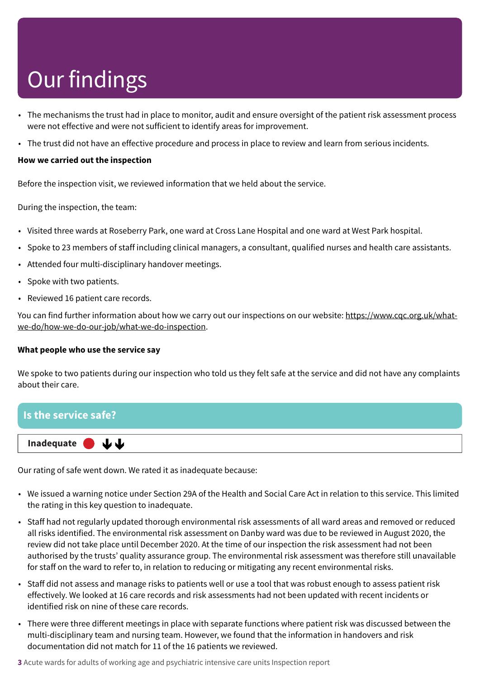- The mechanisms the trust had in place to monitor, audit and ensure oversight of the patient risk assessment process were not effective and were not sufficient to identify areas for improvement.
- The trust did not have an effective procedure and process in place to review and learn from serious incidents.

#### **How we carried out the inspection**

Before the inspection visit, we reviewed information that we held about the service.

During the inspection, the team:

- Visited three wards at Roseberry Park, one ward at Cross Lane Hospital and one ward at West Park hospital.
- Spoke to 23 members of staff including clinical managers, a consultant, qualified nurses and health care assistants.
- Attended four multi-disciplinary handover meetings.
- Spoke with two patients.
- Reviewed 16 patient care records.

You can find further information about how we carry out our inspections on our website: https://www.cqc.org.uk/whatwe-do/how-we-do-our-job/what-we-do-inspection.

#### **What people who use the service say**

We spoke to two patients during our inspection who told us they felt safe at the service and did not have any complaints about their care.



Our rating of safe went down. We rated it as inadequate because:

- We issued a warning notice under Section 29A of the Health and Social Care Act in relation to this service. This limited the rating in this key question to inadequate.
- Staff had not regularly updated thorough environmental risk assessments of all ward areas and removed or reduced all risks identified. The environmental risk assessment on Danby ward was due to be reviewed in August 2020, the review did not take place until December 2020. At the time of our inspection the risk assessment had not been authorised by the trusts' quality assurance group. The environmental risk assessment was therefore still unavailable for staff on the ward to refer to, in relation to reducing or mitigating any recent environmental risks.
- Staff did not assess and manage risks to patients well or use a tool that was robust enough to assess patient risk effectively. We looked at 16 care records and risk assessments had not been updated with recent incidents or identified risk on nine of these care records.
- There were three different meetings in place with separate functions where patient risk was discussed between the multi-disciplinary team and nursing team. However, we found that the information in handovers and risk documentation did not match for 11 of the 16 patients we reviewed.

**3** Acute wards for adults of working age and psychiatric intensive care units Inspection report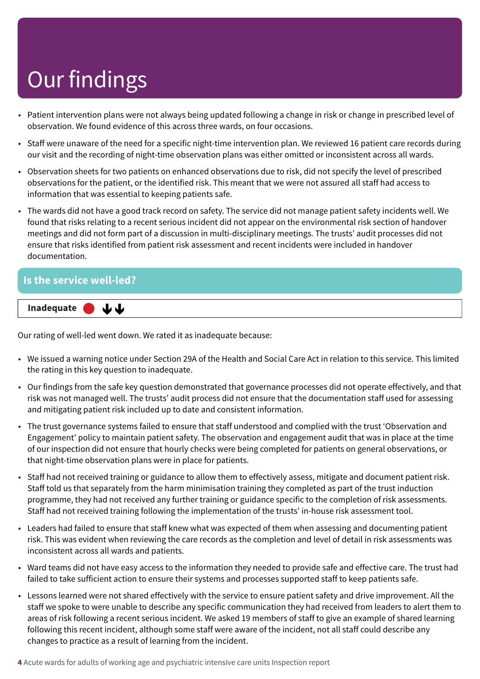- Patient intervention plans were not always being updated following a change in risk or change in prescribed level of observation. We found evidence of this across three wards, on four occasions.
- Staff were unaware of the need for a specific night-time intervention plan. We reviewed 16 patient care records during our visit and the recording of night-time observation plans was either omitted or inconsistent across all wards.
- Observation sheets for two patients on enhanced observations due to risk, did not specify the level of prescribed observations for the patient, or the identified risk. This meant that we were not assured all staff had access to information that was essential to keeping patients safe.
- The wards did not have a good track record on safety. The service did not manage patient safety incidents well. We found that risks relating to a recent serious incident did not appear on the environmental risk section of handover meetings and did not form part of a discussion in multi-disciplinary meetings. The trusts' audit processes did not ensure that risks identified from patient risk assessment and recent incidents were included in handover documentation.

### **Is the service well-led?**

Inadequate **● ↓↓** 

Our rating of well-led went down. We rated it as inadequate because:

- We issued a warning notice under Section 29A of the Health and Social Care Act in relation to this service. This limited the rating in this key question to inadequate.
- Our findings from the safe key question demonstrated that governance processes did not operate effectively, and that risk was not managed well. The trusts' audit process did not ensure that the documentation staff used for assessing and mitigating patient risk included up to date and consistent information.
- The trust governance systems failed to ensure that staff understood and complied with the trust 'Observation and Engagement' policy to maintain patient safety. The observation and engagement audit that was in place at the time of our inspection did not ensure that hourly checks were being completed for patients on general observations, or that night-time observation plans were in place for patients.
- Staff had not received training or guidance to allow them to effectively assess, mitigate and document patient risk. Staff told us that separately from the harm minimisation training they completed as part of the trust induction programme, they had not received any further training or guidance specific to the completion of risk assessments. Staff had not received training following the implementation of the trusts' in-house risk assessment tool.
- Leaders had failed to ensure that staff knew what was expected of them when assessing and documenting patient risk. This was evident when reviewing the care records as the completion and level of detail in risk assessments was inconsistent across all wards and patients.
- Ward teams did not have easy access to the information they needed to provide safe and effective care. The trust had failed to take sufficient action to ensure their systems and processes supported staff to keep patients safe.
- Lessons learned were not shared effectively with the service to ensure patient safety and drive improvement. All the staff we spoke to were unable to describe any specific communication they had received from leaders to alert them to areas of risk following a recent serious incident. We asked 19 members of staff to give an example of shared learning following this recent incident, although some staff were aware of the incident, not all staff could describe any changes to practice as a result of learning from the incident.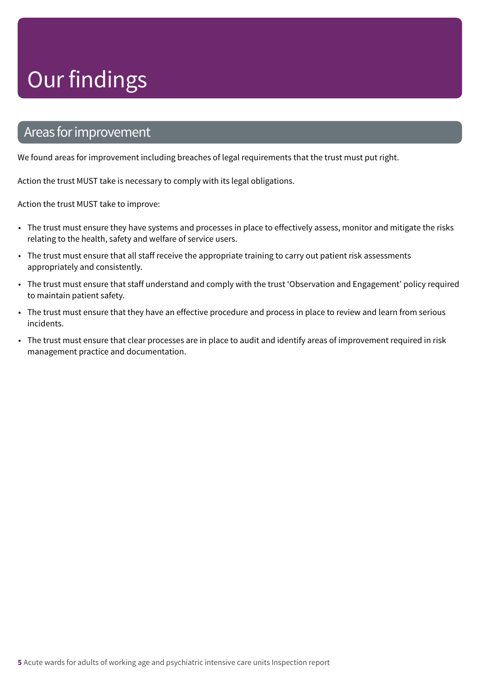### Areas forimprovement

We found areas for improvement including breaches of legal requirements that the trust must put right.

Action the trust MUST take is necessary to comply with its legal obligations.

Action the trust MUST take to improve:

- The trust must ensure they have systems and processes in place to effectively assess, monitor and mitigate the risks relating to the health, safety and welfare of service users.
- The trust must ensure that all staff receive the appropriate training to carry out patient risk assessments appropriately and consistently.
- The trust must ensure that staff understand and comply with the trust 'Observation and Engagement' policy required to maintain patient safety.
- The trust must ensure that they have an effective procedure and process in place to review and learn from serious incidents.
- The trust must ensure that clear processes are in place to audit and identify areas of improvement required in risk management practice and documentation.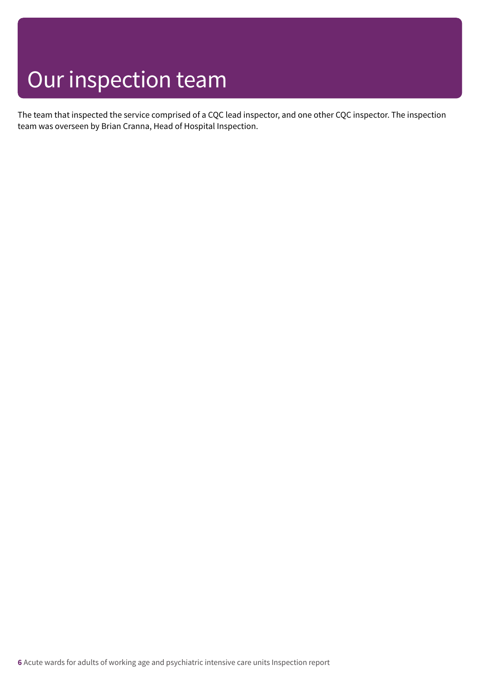### Our inspection team

The team that inspected the service comprised of a CQC lead inspector, and one other CQC inspector. The inspection team was overseen by Brian Cranna, Head of Hospital Inspection.